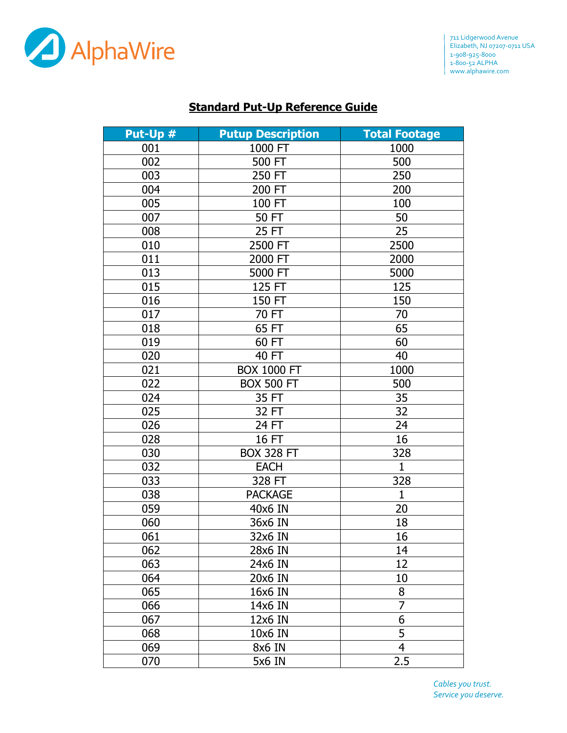

## **Standard Put-Up Reference Guide**

| Put-Up # | <b>Putup Description</b> | <b>Total Footage</b> |
|----------|--------------------------|----------------------|
| 001      | 1000 FT                  | 1000                 |
| 002      | 500 FT                   | 500                  |
| 003      | 250 FT                   | 250                  |
| 004      | 200 FT                   | 200                  |
| 005      | 100 FT                   | 100                  |
| 007      | 50 FT                    | 50                   |
| 008      | 25 FT                    | 25                   |
| 010      | 2500 FT                  | 2500                 |
| 011      | 2000 FT                  | 2000                 |
| 013      | 5000 FT                  | 5000                 |
| 015      | 125 FT                   | 125                  |
| 016      | 150 FT                   | 150                  |
| 017      | 70 FT                    | 70                   |
| 018      | 65 FT                    | 65                   |
| 019      | 60 FT                    | 60                   |
| 020      | 40 FT                    | 40                   |
| 021      | <b>BOX 1000 FT</b>       | 1000                 |
| 022      | <b>BOX 500 FT</b>        | 500                  |
| 024      | 35 FT                    | 35                   |
| 025      | 32 FT                    | 32                   |
| 026      | 24 FT                    | 24                   |
| 028      | 16 FT                    | 16                   |
| 030      | <b>BOX 328 FT</b>        | 328                  |
| 032      | <b>EACH</b>              | $\mathbf{1}$         |
| 033      | 328 FT                   | 328                  |
| 038      | <b>PACKAGE</b>           | $\mathbf{1}$         |
| 059      | 40x6 IN                  | 20                   |
| 060      | 36x6 IN                  | 18                   |
| 061      | 32x6 IN                  | 16                   |
| 062      | 28x6 IN                  | 14                   |
| 063      | 24x6 IN                  | 12                   |
| 064      | 20x6 IN                  | 10                   |
| 065      | 16x6 IN                  | 8                    |
| 066      | 14x6 IN                  | $\overline{7}$       |
| 067      | 12x6 IN                  | 6                    |
| 068      | 10x6 IN                  | 5                    |
| 069      | 8x6 IN                   | $\overline{4}$       |
| 070      | 5x6 IN                   | 2.5                  |